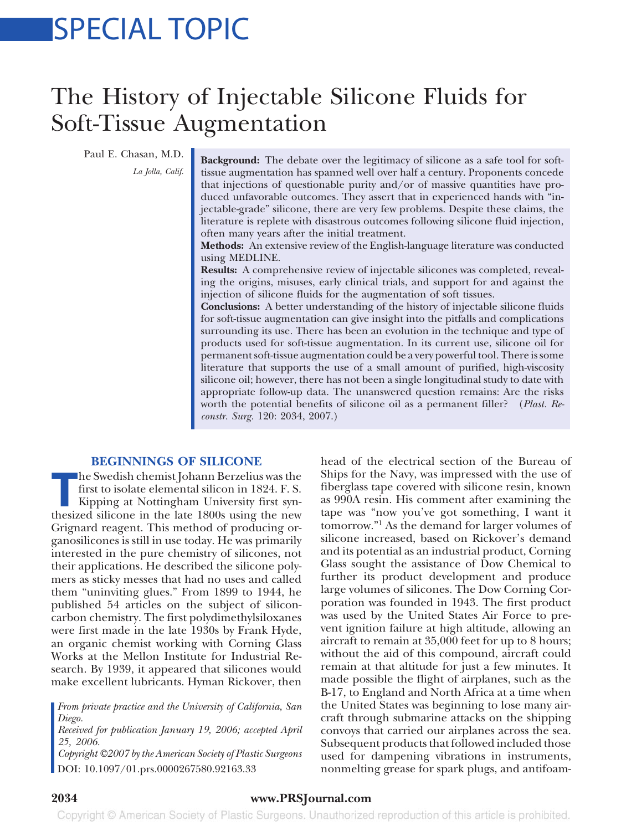# SPECIAL TOPIC

# The History of Injectable Silicone Fluids for Soft-Tissue Augmentation

Paul E. Chasan, M.D.

*La Jolla, Calif.*

**Background:** The debate over the legitimacy of silicone as a safe tool for softtissue augmentation has spanned well over half a century. Proponents concede that injections of questionable purity and/or of massive quantities have produced unfavorable outcomes. They assert that in experienced hands with "injectable-grade" silicone, there are very few problems. Despite these claims, the literature is replete with disastrous outcomes following silicone fluid injection, often many years after the initial treatment.

**Methods:** An extensive review of the English-language literature was conducted using MEDLINE.

**Results:** A comprehensive review of injectable silicones was completed, revealing the origins, misuses, early clinical trials, and support for and against the injection of silicone fluids for the augmentation of soft tissues.

**Conclusions:** A better understanding of the history of injectable silicone fluids for soft-tissue augmentation can give insight into the pitfalls and complications surrounding its use. There has been an evolution in the technique and type of products used for soft-tissue augmentation. In its current use, silicone oil for permanent soft-tissue augmentation could be a very powerful tool. There is some literature that supports the use of a small amount of purified, high-viscosity silicone oil; however, there has not been a single longitudinal study to date with appropriate follow-up data. The unanswered question remains: Are the risks worth the potential benefits of silicone oil as a permanent filler? (*Plast. Reconstr. Surg.* 120: 2034, 2007.)

#### **BEGINNINGS OF SILICONE**

**The Swedish chemist Johann Berzelius was the first to isolate elemental silicon in 1824. F. S.<br>Kipping at Nottingham University first synthesized silicone in the late 1800s using the new** first to isolate elemental silicon in 1824. F. S. Kipping at Nottingham University first synthesized silicone in the late 1800s using the new Grignard reagent. This method of producing organosilicones is still in use today. He was primarily interested in the pure chemistry of silicones, not their applications. He described the silicone polymers as sticky messes that had no uses and called them "uninviting glues." From 1899 to 1944, he published 54 articles on the subject of siliconcarbon chemistry. The first polydimethylsiloxanes were first made in the late 1930s by Frank Hyde, an organic chemist working with Corning Glass Works at the Mellon Institute for Industrial Research. By 1939, it appeared that silicones would make excellent lubricants. Hyman Rickover, then

*From private practice and the University of California, San Diego.*

*Received for publication January 19, 2006; accepted April 25, 2006.*

*Copyright ©2007 by the American Society of Plastic Surgeons* DOI: 10.1097/01.prs.0000267580.92163.33

head of the electrical section of the Bureau of Ships for the Navy, was impressed with the use of fiberglass tape covered with silicone resin, known as 990A resin. His comment after examining the tape was "now you've got something, I want it tomorrow."1 As the demand for larger volumes of silicone increased, based on Rickover's demand and its potential as an industrial product, Corning Glass sought the assistance of Dow Chemical to further its product development and produce large volumes of silicones. The Dow Corning Corporation was founded in 1943. The first product was used by the United States Air Force to prevent ignition failure at high altitude, allowing an aircraft to remain at 35,000 feet for up to 8 hours; without the aid of this compound, aircraft could remain at that altitude for just a few minutes. It made possible the flight of airplanes, such as the B-17, to England and North Africa at a time when the United States was beginning to lose many aircraft through submarine attacks on the shipping convoys that carried our airplanes across the sea. Subsequent products that followed included those used for dampening vibrations in instruments, nonmelting grease for spark plugs, and antifoam-

#### **2034 www.PRSJournal.com**

Copyright © American Society of Plastic Surgeons. Unauthorized reproduction of this article is prohibited.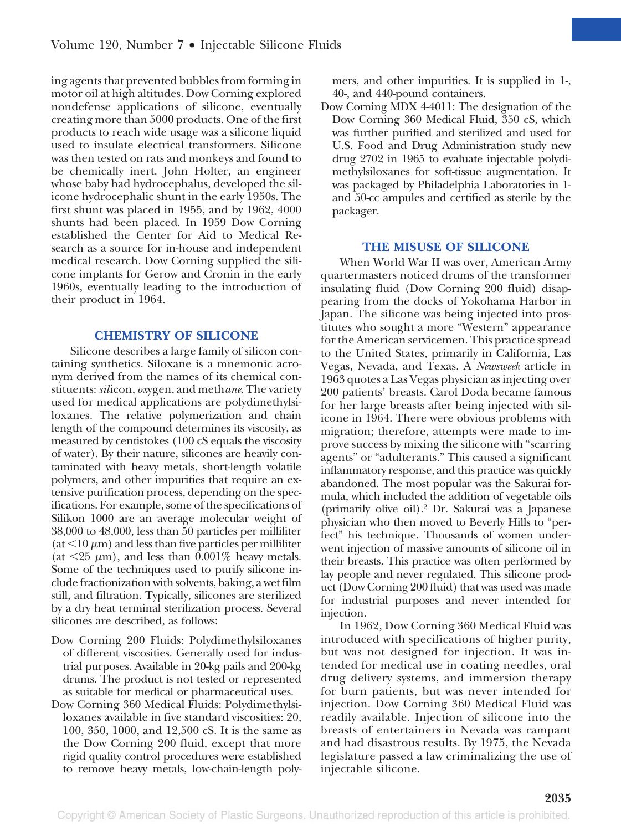ing agents that prevented bubbles from forming in motor oil at high altitudes. Dow Corning explored nondefense applications of silicone, eventually creating more than 5000 products. One of the first products to reach wide usage was a silicone liquid used to insulate electrical transformers. Silicone was then tested on rats and monkeys and found to be chemically inert. John Holter, an engineer whose baby had hydrocephalus, developed the silicone hydrocephalic shunt in the early 1950s. The first shunt was placed in 1955, and by 1962, 4000 shunts had been placed. In 1959 Dow Corning established the Center for Aid to Medical Research as a source for in-house and independent medical research. Dow Corning supplied the silicone implants for Gerow and Cronin in the early 1960s, eventually leading to the introduction of their product in 1964.

#### **CHEMISTRY OF SILICONE**

Silicone describes a large family of silicon containing synthetics. Siloxane is a mnemonic acronym derived from the names of its chemical constituents: *sil*icon, *ox*ygen, and meth*ane*. The variety used for medical applications are polydimethylsiloxanes. The relative polymerization and chain length of the compound determines its viscosity, as measured by centistokes (100 cS equals the viscosity of water). By their nature, silicones are heavily contaminated with heavy metals, short-length volatile polymers, and other impurities that require an extensive purification process, depending on the specifications. For example, some of the specifications of Silikon 1000 are an average molecular weight of 38,000 to 48,000, less than 50 particles per milliliter  $(\text{at} < 10 \,\mu\text{m})$  and less than five particles per milliliter (at  $\leq$  25  $\mu$ m), and less than 0.001\% heavy metals. Some of the techniques used to purify silicone include fractionization with solvents, baking, a wet film still, and filtration. Typically, silicones are sterilized by a dry heat terminal sterilization process. Several silicones are described, as follows:

- Dow Corning 200 Fluids: Polydimethylsiloxanes of different viscosities. Generally used for industrial purposes. Available in 20-kg pails and 200-kg drums. The product is not tested or represented as suitable for medical or pharmaceutical uses.
- Dow Corning 360 Medical Fluids: Polydimethylsiloxanes available in five standard viscosities: 20, 100, 350, 1000, and 12,500 cS. It is the same as the Dow Corning 200 fluid, except that more rigid quality control procedures were established to remove heavy metals, low-chain-length poly-

mers, and other impurities. It is supplied in 1-, 40-, and 440-pound containers.

Dow Corning MDX 4-4011: The designation of the Dow Corning 360 Medical Fluid, 350 cS, which was further purified and sterilized and used for U.S. Food and Drug Administration study new drug 2702 in 1965 to evaluate injectable polydimethylsiloxanes for soft-tissue augmentation. It was packaged by Philadelphia Laboratories in 1 and 50-cc ampules and certified as sterile by the packager.

### **THE MISUSE OF SILICONE**

When World War II was over, American Army quartermasters noticed drums of the transformer insulating fluid (Dow Corning 200 fluid) disappearing from the docks of Yokohama Harbor in Japan. The silicone was being injected into prostitutes who sought a more "Western" appearance for the American servicemen. This practice spread to the United States, primarily in California, Las Vegas, Nevada, and Texas. A *Newsweek* article in 1963 quotes a Las Vegas physician as injecting over 200 patients' breasts. Carol Doda became famous for her large breasts after being injected with silicone in 1964. There were obvious problems with migration; therefore, attempts were made to improve success by mixing the silicone with "scarring agents" or "adulterants." This caused a significant inflammatory response, and this practice was quickly abandoned. The most popular was the Sakurai formula, which included the addition of vegetable oils (primarily olive oil).2 Dr. Sakurai was a Japanese physician who then moved to Beverly Hills to "perfect" his technique. Thousands of women underwent injection of massive amounts of silicone oil in their breasts. This practice was often performed by lay people and never regulated. This silicone product (Dow Corning 200 fluid) that was used was made for industrial purposes and never intended for injection.

In 1962, Dow Corning 360 Medical Fluid was introduced with specifications of higher purity, but was not designed for injection. It was intended for medical use in coating needles, oral drug delivery systems, and immersion therapy for burn patients, but was never intended for injection. Dow Corning 360 Medical Fluid was readily available. Injection of silicone into the breasts of entertainers in Nevada was rampant and had disastrous results. By 1975, the Nevada legislature passed a law criminalizing the use of injectable silicone.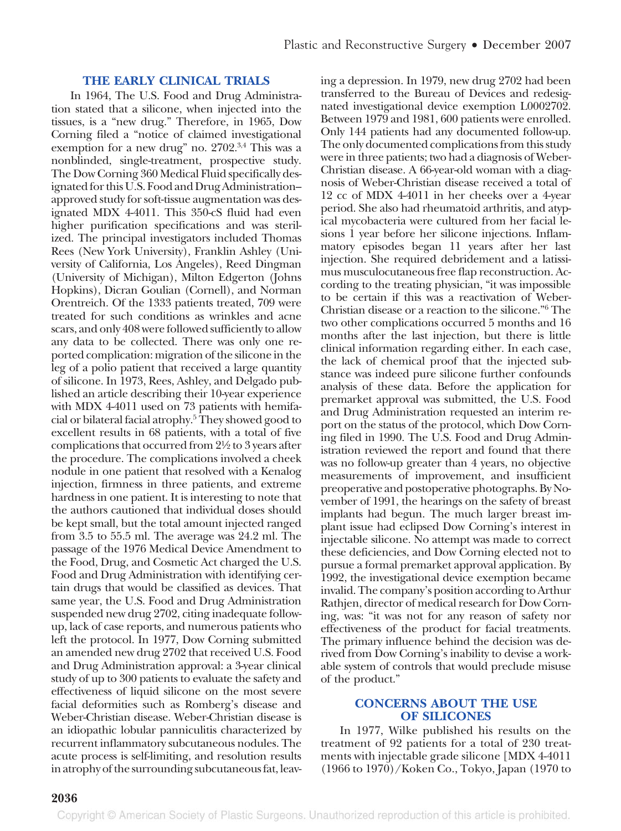#### **THE EARLY CLINICAL TRIALS**

In 1964, The U.S. Food and Drug Administration stated that a silicone, when injected into the tissues, is a "new drug." Therefore, in 1965, Dow Corning filed a "notice of claimed investigational exemption for a new drug" no. 2702.<sup>3,4</sup> This was a nonblinded, single-treatment, prospective study. The Dow Corning 360 Medical Fluid specifically designated for this U.S. Food and Drug Administration– approved study for soft-tissue augmentation was designated MDX 4-4011. This 350-cS fluid had even higher purification specifications and was sterilized. The principal investigators included Thomas Rees (New York University), Franklin Ashley (University of California, Los Angeles), Reed Dingman (University of Michigan), Milton Edgerton (Johns Hopkins), Dicran Goulian (Cornell), and Norman Orentreich. Of the 1333 patients treated, 709 were treated for such conditions as wrinkles and acne scars, and only 408 were followed sufficiently to allow any data to be collected. There was only one reported complication: migration of the silicone in the leg of a polio patient that received a large quantity of silicone. In 1973, Rees, Ashley, and Delgado published an article describing their 10-year experience with MDX 4-4011 used on 73 patients with hemifacial or bilateral facial atrophy.5 They showed good to excellent results in 68 patients, with a total of five complications that occurred from 2½ to 3 years after the procedure. The complications involved a cheek nodule in one patient that resolved with a Kenalog injection, firmness in three patients, and extreme hardness in one patient. It is interesting to note that the authors cautioned that individual doses should be kept small, but the total amount injected ranged from 3.5 to 55.5 ml. The average was 24.2 ml. The passage of the 1976 Medical Device Amendment to the Food, Drug, and Cosmetic Act charged the U.S. Food and Drug Administration with identifying certain drugs that would be classified as devices. That same year, the U.S. Food and Drug Administration suspended new drug 2702, citing inadequate followup, lack of case reports, and numerous patients who left the protocol. In 1977, Dow Corning submitted an amended new drug 2702 that received U.S. Food and Drug Administration approval: a 3-year clinical study of up to 300 patients to evaluate the safety and effectiveness of liquid silicone on the most severe facial deformities such as Romberg's disease and Weber-Christian disease. Weber-Christian disease is an idiopathic lobular panniculitis characterized by recurrent inflammatory subcutaneous nodules. The acute process is self-limiting, and resolution results in atrophy of the surrounding subcutaneous fat, leaving a depression. In 1979, new drug 2702 had been transferred to the Bureau of Devices and redesignated investigational device exemption L0002702. Between 1979 and 1981, 600 patients were enrolled. Only 144 patients had any documented follow-up. The only documented complications from this study were in three patients; two had a diagnosis of Weber-Christian disease. A 66-year-old woman with a diagnosis of Weber-Christian disease received a total of 12 cc of MDX 4-4011 in her cheeks over a 4-year period. She also had rheumatoid arthritis, and atypical mycobacteria were cultured from her facial lesions 1 year before her silicone injections. Inflammatory episodes began 11 years after her last injection. She required debridement and a latissimus musculocutaneous free flap reconstruction. According to the treating physician, "it was impossible to be certain if this was a reactivation of Weber-Christian disease or a reaction to the silicone."6 The two other complications occurred 5 months and 16 months after the last injection, but there is little clinical information regarding either. In each case, the lack of chemical proof that the injected substance was indeed pure silicone further confounds analysis of these data. Before the application for premarket approval was submitted, the U.S. Food and Drug Administration requested an interim report on the status of the protocol, which Dow Corning filed in 1990. The U.S. Food and Drug Administration reviewed the report and found that there was no follow-up greater than 4 years, no objective measurements of improvement, and insufficient preoperative and postoperative photographs. By November of 1991, the hearings on the safety of breast implants had begun. The much larger breast implant issue had eclipsed Dow Corning's interest in injectable silicone. No attempt was made to correct these deficiencies, and Dow Corning elected not to pursue a formal premarket approval application. By 1992, the investigational device exemption became invalid. The company's position according to Arthur Rathjen, director of medical research for Dow Corning, was: "it was not for any reason of safety nor effectiveness of the product for facial treatments. The primary influence behind the decision was derived from Dow Corning's inability to devise a workable system of controls that would preclude misuse of the product."

#### **CONCERNS ABOUT THE USE OF SILICONES**

In 1977, Wilke published his results on the treatment of 92 patients for a total of 230 treatments with injectable grade silicone [MDX 4-4011 (1966 to 1970)/Koken Co., Tokyo, Japan (1970 to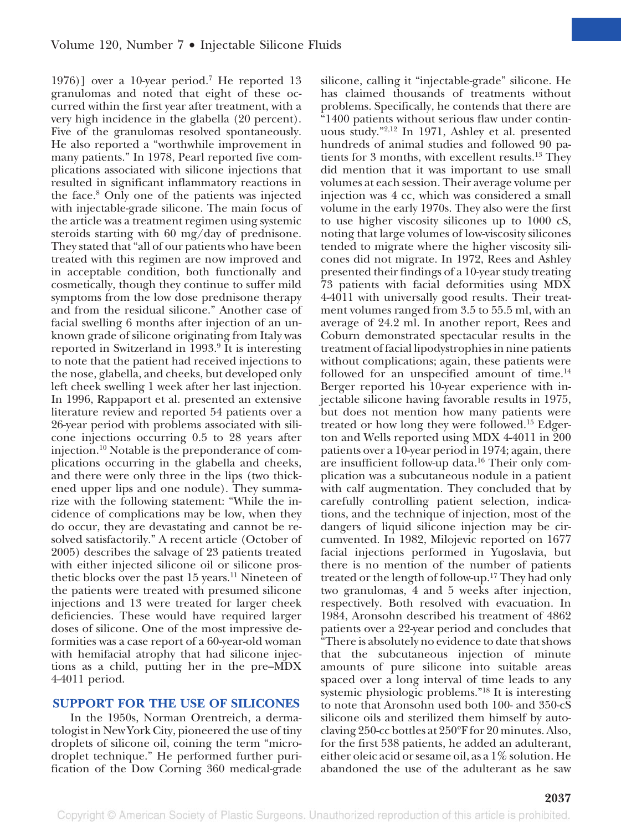1976)] over a 10-year period.<sup>7</sup> He reported 13 granulomas and noted that eight of these occurred within the first year after treatment, with a very high incidence in the glabella (20 percent). Five of the granulomas resolved spontaneously. He also reported a "worthwhile improvement in many patients." In 1978, Pearl reported five complications associated with silicone injections that resulted in significant inflammatory reactions in the face.8 Only one of the patients was injected with injectable-grade silicone. The main focus of the article was a treatment regimen using systemic steroids starting with 60 mg/day of prednisone. They stated that "all of our patients who have been treated with this regimen are now improved and in acceptable condition, both functionally and cosmetically, though they continue to suffer mild symptoms from the low dose prednisone therapy and from the residual silicone." Another case of facial swelling 6 months after injection of an unknown grade of silicone originating from Italy was reported in Switzerland in 1993.9 It is interesting to note that the patient had received injections to the nose, glabella, and cheeks, but developed only left cheek swelling 1 week after her last injection. In 1996, Rappaport et al. presented an extensive literature review and reported 54 patients over a 26-year period with problems associated with silicone injections occurring 0.5 to 28 years after injection.10 Notable is the preponderance of complications occurring in the glabella and cheeks, and there were only three in the lips (two thickened upper lips and one nodule). They summarize with the following statement: "While the incidence of complications may be low, when they do occur, they are devastating and cannot be resolved satisfactorily." A recent article (October of 2005) describes the salvage of 23 patients treated with either injected silicone oil or silicone prosthetic blocks over the past 15 years.<sup>11</sup> Nineteen of the patients were treated with presumed silicone injections and 13 were treated for larger cheek deficiencies. These would have required larger doses of silicone. One of the most impressive deformities was a case report of a 60-year-old woman with hemifacial atrophy that had silicone injections as a child, putting her in the pre–MDX 4-4011 period.

#### **SUPPORT FOR THE USE OF SILICONES**

In the 1950s, Norman Orentreich, a dermatologist in New York City, pioneered the use of tiny droplets of silicone oil, coining the term "microdroplet technique." He performed further purification of the Dow Corning 360 medical-grade

silicone, calling it "injectable-grade" silicone. He has claimed thousands of treatments without problems. Specifically, he contends that there are "1400 patients without serious flaw under continuous study."2,12 In 1971, Ashley et al. presented hundreds of animal studies and followed 90 patients for 3 months, with excellent results.13 They did mention that it was important to use small volumes at each session. Their average volume per injection was 4 cc, which was considered a small volume in the early 1970s. They also were the first to use higher viscosity silicones up to 1000 cS, noting that large volumes of low-viscosity silicones tended to migrate where the higher viscosity silicones did not migrate. In 1972, Rees and Ashley presented their findings of a 10-year study treating 73 patients with facial deformities using MDX 4-4011 with universally good results. Their treatment volumes ranged from 3.5 to 55.5 ml, with an average of 24.2 ml. In another report, Rees and Coburn demonstrated spectacular results in the treatment of facial lipodystrophies in nine patients without complications; again, these patients were followed for an unspecified amount of time.<sup>14</sup> Berger reported his 10-year experience with injectable silicone having favorable results in 1975, but does not mention how many patients were treated or how long they were followed.15 Edgerton and Wells reported using MDX 4-4011 in 200 patients over a 10-year period in 1974; again, there are insufficient follow-up data.16 Their only complication was a subcutaneous nodule in a patient with calf augmentation. They concluded that by carefully controlling patient selection, indications, and the technique of injection, most of the dangers of liquid silicone injection may be circumvented. In 1982, Milojevic reported on 1677 facial injections performed in Yugoslavia, but there is no mention of the number of patients treated or the length of follow-up.17 They had only two granulomas, 4 and 5 weeks after injection, respectively. Both resolved with evacuation. In 1984, Aronsohn described his treatment of 4862 patients over a 22-year period and concludes that "There is absolutely no evidence to date that shows that the subcutaneous injection of minute amounts of pure silicone into suitable areas spaced over a long interval of time leads to any systemic physiologic problems."18 It is interesting to note that Aronsohn used both 100- and 350-cS silicone oils and sterilized them himself by autoclaving 250-cc bottles at 250ºF for 20 minutes. Also, for the first 538 patients, he added an adulterant,

either oleic acid or sesame oil, as a 1% solution. He abandoned the use of the adulterant as he saw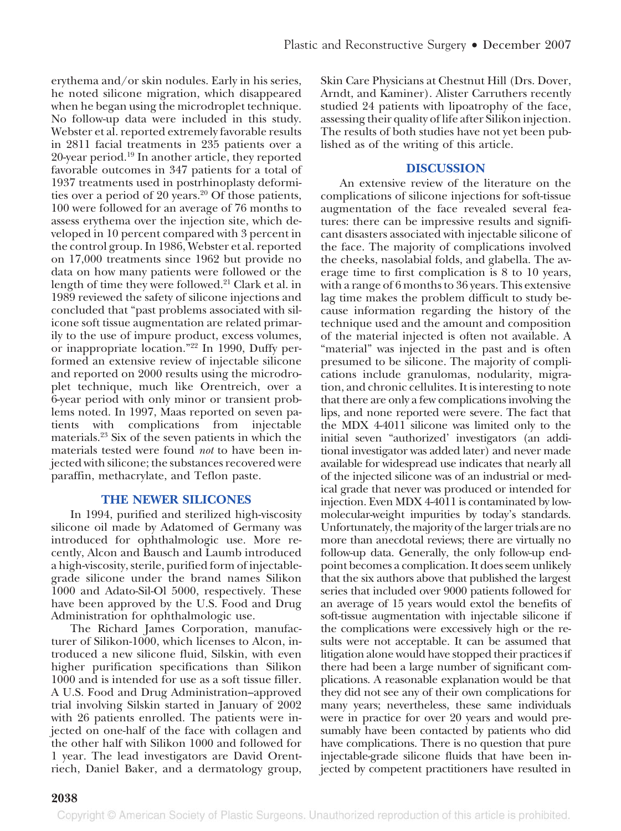erythema and/or skin nodules. Early in his series, he noted silicone migration, which disappeared when he began using the microdroplet technique. No follow-up data were included in this study. Webster et al. reported extremely favorable results in 2811 facial treatments in 235 patients over a 20-year period.19 In another article, they reported favorable outcomes in 347 patients for a total of 1937 treatments used in postrhinoplasty deformities over a period of 20 years. $20$  Of those patients, 100 were followed for an average of 76 months to assess erythema over the injection site, which developed in 10 percent compared with 3 percent in the control group. In 1986, Webster et al. reported on 17,000 treatments since 1962 but provide no data on how many patients were followed or the length of time they were followed.21 Clark et al. in 1989 reviewed the safety of silicone injections and concluded that "past problems associated with silicone soft tissue augmentation are related primarily to the use of impure product, excess volumes, or inappropriate location."22 In 1990, Duffy performed an extensive review of injectable silicone and reported on 2000 results using the microdroplet technique, much like Orentreich, over a 6-year period with only minor or transient problems noted. In 1997, Maas reported on seven patients with complications from injectable materials.23 Six of the seven patients in which the materials tested were found *not* to have been injected with silicone; the substances recovered were paraffin, methacrylate, and Teflon paste.

# **THE NEWER SILICONES**

In 1994, purified and sterilized high-viscosity silicone oil made by Adatomed of Germany was introduced for ophthalmologic use. More recently, Alcon and Bausch and Laumb introduced a high-viscosity, sterile, purified form of injectablegrade silicone under the brand names Silikon 1000 and Adato-Sil-Ol 5000, respectively. These have been approved by the U.S. Food and Drug Administration for ophthalmologic use.

The Richard James Corporation, manufacturer of Silikon-1000, which licenses to Alcon, introduced a new silicone fluid, Silskin, with even higher purification specifications than Silikon 1000 and is intended for use as a soft tissue filler. A U.S. Food and Drug Administration–approved trial involving Silskin started in January of 2002 with 26 patients enrolled. The patients were injected on one-half of the face with collagen and the other half with Silikon 1000 and followed for 1 year. The lead investigators are David Orentriech, Daniel Baker, and a dermatology group,

Skin Care Physicians at Chestnut Hill (Drs. Dover, Arndt, and Kaminer). Alister Carruthers recently studied 24 patients with lipoatrophy of the face, assessing their quality of life after Silikon injection. The results of both studies have not yet been published as of the writing of this article.

## **DISCUSSION**

An extensive review of the literature on the complications of silicone injections for soft-tissue augmentation of the face revealed several features: there can be impressive results and significant disasters associated with injectable silicone of the face. The majority of complications involved the cheeks, nasolabial folds, and glabella. The average time to first complication is 8 to 10 years, with a range of 6 months to 36 years. This extensive lag time makes the problem difficult to study because information regarding the history of the technique used and the amount and composition of the material injected is often not available. A "material" was injected in the past and is often presumed to be silicone. The majority of complications include granulomas, nodularity, migration, and chronic cellulites. It is interesting to note that there are only a few complications involving the lips, and none reported were severe. The fact that the MDX 4-4011 silicone was limited only to the initial seven "authorized' investigators (an additional investigator was added later) and never made available for widespread use indicates that nearly all of the injected silicone was of an industrial or medical grade that never was produced or intended for injection. Even MDX 4-4011 is contaminated by lowmolecular-weight impurities by today's standards. Unfortunately, the majority of the larger trials are no more than anecdotal reviews; there are virtually no follow-up data. Generally, the only follow-up endpoint becomes a complication. It does seem unlikely that the six authors above that published the largest series that included over 9000 patients followed for an average of 15 years would extol the benefits of soft-tissue augmentation with injectable silicone if the complications were excessively high or the results were not acceptable. It can be assumed that litigation alone would have stopped their practices if there had been a large number of significant complications. A reasonable explanation would be that they did not see any of their own complications for many years; nevertheless, these same individuals were in practice for over 20 years and would presumably have been contacted by patients who did have complications. There is no question that pure injectable-grade silicone fluids that have been injected by competent practitioners have resulted in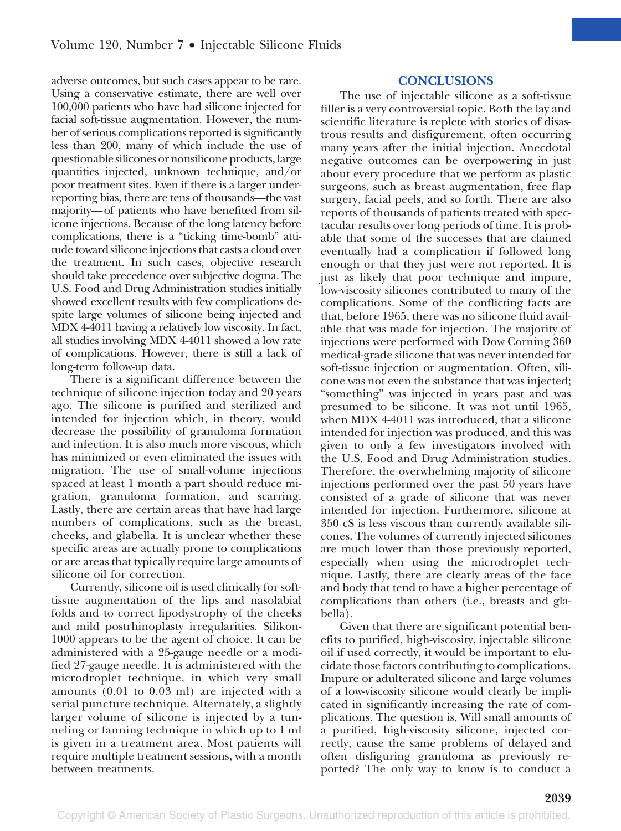adverse outcomes, but such cases appear to be rare. Using a conservative estimate, there are well over 100,000 patients who have had silicone injected for facial soft-tissue augmentation. However, the number of serious complications reported is significantly less than 200, many of which include the use of questionable silicones or nonsilicone products, large quantities injected, unknown technique, and/or poor treatment sites. Even if there is a larger underreporting bias, there are tens of thousands—the vast majority—of patients who have benefited from silicone injections. Because of the long latency before complications, there is a "ticking time-bomb" attitude toward silicone injections that casts a cloud over the treatment. In such cases, objective research should take precedence over subjective dogma. The U.S. Food and Drug Administration studies initially showed excellent results with few complications despite large volumes of silicone being injected and MDX 4-4011 having a relatively low viscosity. In fact, all studies involving MDX 4-4011 showed a low rate of complications. However, there is still a lack of long-term follow-up data.

There is a significant difference between the technique of silicone injection today and 20 years ago. The silicone is purified and sterilized and intended for injection which, in theory, would decrease the possibility of granuloma formation and infection. It is also much more viscous, which has minimized or even eliminated the issues with migration. The use of small-volume injections spaced at least 1 month a part should reduce migration, granuloma formation, and scarring. Lastly, there are certain areas that have had large numbers of complications, such as the breast, cheeks, and glabella. It is unclear whether these specific areas are actually prone to complications or are areas that typically require large amounts of silicone oil for correction.

Currently, silicone oil is used clinically for softtissue augmentation of the lips and nasolabial folds and to correct lipodystrophy of the cheeks and mild postrhinoplasty irregularities. Silikon-1000 appears to be the agent of choice. It can be administered with a 25-gauge needle or a modified 27-gauge needle. It is administered with the microdroplet technique, in which very small amounts (0.01 to 0.03 ml) are injected with a serial puncture technique. Alternately, a slightly larger volume of silicone is injected by a tunneling or fanning technique in which up to 1 ml is given in a treatment area. Most patients will require multiple treatment sessions, with a month between treatments.

#### **CONCLUSIONS**

The use of injectable silicone as a soft-tissue filler is a very controversial topic. Both the lay and scientific literature is replete with stories of disastrous results and disfigurement, often occurring many years after the initial injection. Anecdotal negative outcomes can be overpowering in just about every procedure that we perform as plastic surgeons, such as breast augmentation, free flap surgery, facial peels, and so forth. There are also reports of thousands of patients treated with spectacular results over long periods of time. It is probable that some of the successes that are claimed eventually had a complication if followed long enough or that they just were not reported. It is just as likely that poor technique and impure, low-viscosity silicones contributed to many of the complications. Some of the conflicting facts are that, before 1965, there was no silicone fluid available that was made for injection. The majority of injections were performed with Dow Corning 360 medical-grade silicone that was never intended for soft-tissue injection or augmentation. Often, silicone was not even the substance that was injected; "something" was injected in years past and was presumed to be silicone. It was not until 1965, when MDX 4-4011 was introduced, that a silicone intended for injection was produced, and this was given to only a few investigators involved with the U.S. Food and Drug Administration studies. Therefore, the overwhelming majority of silicone injections performed over the past 50 years have consisted of a grade of silicone that was never intended for injection. Furthermore, silicone at 350 cS is less viscous than currently available silicones. The volumes of currently injected silicones are much lower than those previously reported, especially when using the microdroplet technique. Lastly, there are clearly areas of the face and body that tend to have a higher percentage of complications than others (i.e., breasts and glabella).

Given that there are significant potential benefits to purified, high-viscosity, injectable silicone oil if used correctly, it would be important to elucidate those factors contributing to complications. Impure or adulterated silicone and large volumes of a low-viscosity silicone would clearly be implicated in significantly increasing the rate of complications. The question is, Will small amounts of a purified, high-viscosity silicone, injected correctly, cause the same problems of delayed and often disfiguring granuloma as previously reported? The only way to know is to conduct a